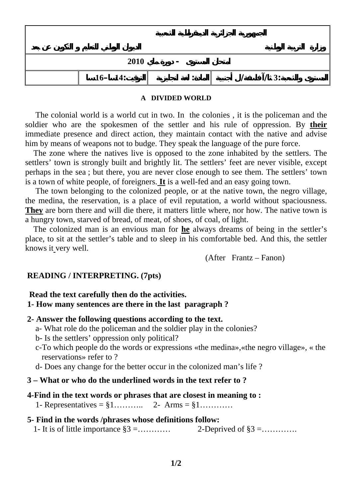| 2010<br>$\overline{\phantom{0}}$ |             |  |      |  |
|----------------------------------|-------------|--|------|--|
|                                  | $16 - 14$ : |  | / 3: |  |

### **A DIVIDED WORLD**

 The colonial world is a world cut in two. In the colonies , it is the policeman and the soldier who are the spokesmen of the settler and his rule of oppression. By **their** immediate presence and direct action, they maintain contact with the native and advise him by means of weapons not to budge. They speak the language of the pure force.

 The zone where the natives live is opposed to the zone inhabited by the settlers. The settlers' town is strongly built and brightly lit. The settlers' feet are never visible, except perhaps in the sea ; but there, you are never close enough to see them. The settlers' town is a town of white people, of foreigners. **It** is a well-fed and an easy going town.

 The town belonging to the colonized people, or at the native town, the negro village, the medina, the reservation, is a place of evil reputation, a world without spaciousness. **They** are born there and will die there, it matters little where, nor how. The native town is a hungry town, starved of bread, of meat, of shoes, of coal, of light.

 The colonized man is an envious man for **he** always dreams of being in the settler's place, to sit at the settler's table and to sleep in his comfortable bed. And this, the settler knows it very well.

(After Frantz – Fanon)

# **READING / INTERPRETING. (7pts)**

## **Read the text carefully then do the activities.**

# **1- How many sentences are there in the last paragraph ?**

### **2- Answer the following questions according to the text.**

- a- What role do the policeman and the soldier play in the colonies?
- b- Is the settlers' oppression only political?
- c-To which people do the words or expressions «the medina»,«the negro village», « the reservations» refer to ?
- d- Does any change for the better occur in the colonized man's life ?

## **3 – What or who do the underlined words in the text refer to ?**

#### **4-Find in the text words or phrases that are closest in meaning to :**

1- Representatives =  $\S 1$ ………... 2- Arms =  $\S 1$ ……….

### **5- Find in the words /phrases whose definitions follow:**

1- It is of little importance §3 =………… 2-Deprived of §3 =………….